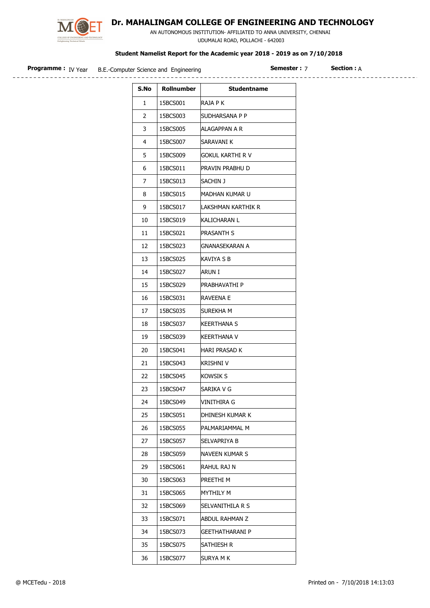

## Dr. MAHALINGAM COLLEGE OF ENGINEERING AND TECHNOLOGY

 AN AUTONOMOUS INSTITUTION- AFFILIATED TO ANNA UNIVERSITY, CHENNAI UDUMALAI ROAD, POLLACHI - 642003

## Student Namelist Report for the Academic year 2018 - 2019 as on 7/10/2018

| S.No           | Rollnumber | <b>Studentname</b>      |  |
|----------------|------------|-------------------------|--|
| $\mathbf{1}$   | 15BCS001   | RAJA P K                |  |
| $2^{\circ}$    | 15BCS003   | SUDHARSANA P P          |  |
| 3              | 15BCS005   | ALAGAPPAN A R           |  |
| $\overline{4}$ | 15BCS007   | SARAVANI K              |  |
| 5              | 15BCS009   | <b>GOKUL KARTHI R V</b> |  |
| 6              | 15BCS011   | PRAVIN PRABHU D         |  |
| $\overline{7}$ | 15BCS013   | SACHIN J                |  |
| 8              | 15BCS015   | MADHAN KUMAR U          |  |
| 9              | 15BCS017   | LAKSHMAN KARTHIK R      |  |
| 10             | 15BCS019   | KALICHARAN L            |  |
| 11             | 15BCS021   | <b>PRASANTH S</b>       |  |
| 12             | 15BCS023   | <b>GNANASEKARAN A</b>   |  |
| 13             | 15BCS025   | KAVIYA S B              |  |
| 14             | 15BCS027   | ARUN I                  |  |
| 15             | 15BCS029   | PRABHAVATHI P           |  |
| 16             | 15BCS031   | <b>RAVEENA E</b>        |  |
| 17             | 15BCS035   | SUREKHA M               |  |
| 18             | 15BCS037   | <b>KEERTHANA S</b>      |  |
| 19             | 15BCS039   | <b>KEERTHANA V</b>      |  |

20 | 15BCS041 | HARI PRASAD K 21 | 15BCS043 | KRISHNI V 22 | 15BCS045 | KOWSIK S 23 | 15BCS047 | SARIKA V G 24 | 15BCS049 | VINITHIRA G

25 | 15BCS051 | DHINESH KUMAR K 26 | 15BCS055 | PALMARIAMMAL M 27 | 15BCS057 | SELVAPRIYA B 28 | 15BCS059 | NAVEEN KUMAR S

29 | 15BCS061 | RAHUL RAJ N 30 15BCS063 PREETHI M 31 | 15BCS065 MYTHILY M

32 15BCS069 SELVANITHILA R S 33 15BCS071 ABDUL RAHMAN Z 34 15BCS073 GEETHATHARANI P

35 | 15BCS075 | SATHIESH R 36 | 15BCS077 | SURYA M K